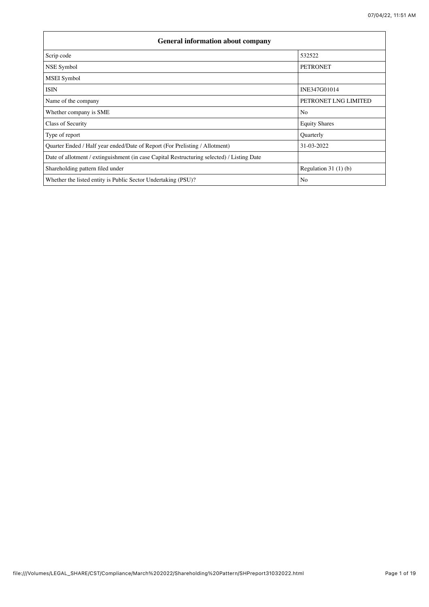| <b>General information about company</b>                                                   |                       |  |  |  |  |  |  |
|--------------------------------------------------------------------------------------------|-----------------------|--|--|--|--|--|--|
| Scrip code                                                                                 | 532522                |  |  |  |  |  |  |
| NSE Symbol                                                                                 | <b>PETRONET</b>       |  |  |  |  |  |  |
| <b>MSEI</b> Symbol                                                                         |                       |  |  |  |  |  |  |
| ISIN                                                                                       | INE347G01014          |  |  |  |  |  |  |
| Name of the company                                                                        | PETRONET LNG LIMITED  |  |  |  |  |  |  |
| Whether company is SME                                                                     | No                    |  |  |  |  |  |  |
| Class of Security                                                                          | <b>Equity Shares</b>  |  |  |  |  |  |  |
| Type of report                                                                             | Quarterly             |  |  |  |  |  |  |
| Quarter Ended / Half year ended/Date of Report (For Prelisting / Allotment)                | 31-03-2022            |  |  |  |  |  |  |
| Date of allotment / extinguishment (in case Capital Restructuring selected) / Listing Date |                       |  |  |  |  |  |  |
| Shareholding pattern filed under                                                           | Regulation $31(1)(b)$ |  |  |  |  |  |  |
| Whether the listed entity is Public Sector Undertaking (PSU)?                              | No                    |  |  |  |  |  |  |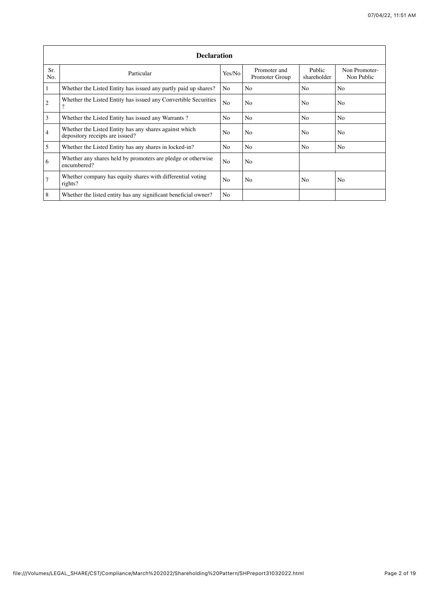|                | <b>Declaration</b>                                                                        |                |                                |                       |                             |
|----------------|-------------------------------------------------------------------------------------------|----------------|--------------------------------|-----------------------|-----------------------------|
| Sr.<br>No.     | Particular                                                                                | Yes/No         | Promoter and<br>Promoter Group | Public<br>shareholder | Non Promoter-<br>Non Public |
|                | Whether the Listed Entity has issued any partly paid up shares?                           | No             | N <sub>0</sub>                 | N <sub>o</sub>        | N <sub>o</sub>              |
| $\overline{2}$ | Whether the Listed Entity has issued any Convertible Securities                           | N <sub>o</sub> | No                             | N <sub>o</sub>        | No                          |
| 3              | Whether the Listed Entity has issued any Warrants?                                        | No             | No.                            | N <sub>o</sub>        | No                          |
| 4              | Whether the Listed Entity has any shares against which<br>depository receipts are issued? | No             | No                             | N <sub>o</sub>        | No                          |
| 5              | Whether the Listed Entity has any shares in locked-in?                                    | N <sub>o</sub> | No                             | No                    | No                          |
| 6              | Whether any shares held by promoters are pledge or otherwise<br>encumbered?               | No             | No.                            |                       |                             |
|                | Whether company has equity shares with differential voting<br>rights?                     | N <sub>0</sub> | N <sub>0</sub>                 | N <sub>o</sub>        | No                          |
| 8              | Whether the listed entity has any significant beneficial owner?                           | No             |                                |                       |                             |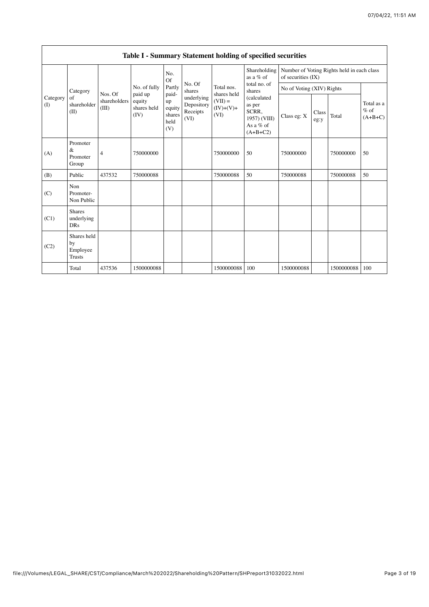|                               |                                                |                       |                               |                                       |                                                                  |                                                               | Table I - Summary Statement holding of specified securities                                                                        |                           |               |                                            |                                   |
|-------------------------------|------------------------------------------------|-----------------------|-------------------------------|---------------------------------------|------------------------------------------------------------------|---------------------------------------------------------------|------------------------------------------------------------------------------------------------------------------------------------|---------------------------|---------------|--------------------------------------------|-----------------------------------|
|                               |                                                |                       |                               | No.<br>Of                             | No. Of<br>shares<br>underlying<br>Depository<br>Receipts<br>(VI) |                                                               | Shareholding<br>as a % of<br>total no. of<br>shares<br>(calculated<br>as per<br>SCRR,<br>1957) (VIII)<br>As a $%$ of<br>$(A+B+C2)$ | of securities (IX)        |               | Number of Voting Rights held in each class |                                   |
|                               | Category                                       | Nos. Of               | No. of fully<br>paid up       | Partly<br>paid-                       |                                                                  | Total nos.<br>shares held<br>$(VII) =$<br>$(IV)+(V)+$<br>(VI) |                                                                                                                                    | No of Voting (XIV) Rights |               |                                            |                                   |
| Category<br>of<br>(I)<br>(II) | shareholder                                    | shareholders<br>(III) | equity<br>shares held<br>(IV) | up<br>equity<br>shares<br>held<br>(V) |                                                                  |                                                               |                                                                                                                                    | Class eg: X               | Class<br>eg:y | Total                                      | Total as a<br>$%$ of<br>$(A+B+C)$ |
| (A)                           | Promoter<br>$\&$<br>Promoter<br>Group          | $\overline{4}$        | 750000000                     |                                       |                                                                  | 750000000                                                     | 50                                                                                                                                 | 750000000                 |               | 750000000                                  | 50                                |
| (B)                           | Public                                         | 437532                | 750000088                     |                                       |                                                                  | 750000088                                                     | 50                                                                                                                                 | 750000088                 |               | 750000088                                  | 50                                |
| (C)                           | Non<br>Promoter-<br>Non Public                 |                       |                               |                                       |                                                                  |                                                               |                                                                                                                                    |                           |               |                                            |                                   |
| (C1)                          | <b>Shares</b><br>underlying<br><b>DRs</b>      |                       |                               |                                       |                                                                  |                                                               |                                                                                                                                    |                           |               |                                            |                                   |
| (C2)                          | Shares held<br>by<br>Employee<br><b>Trusts</b> |                       |                               |                                       |                                                                  |                                                               |                                                                                                                                    |                           |               |                                            |                                   |
|                               | Total                                          | 437536                | 1500000088                    |                                       |                                                                  | 1500000088                                                    | 100                                                                                                                                | 1500000088                |               | 1500000088                                 | 100                               |

 $\mathbf{r}$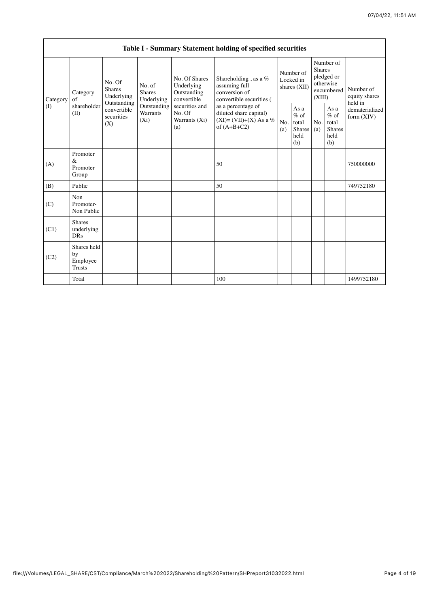$\overline{\phantom{0}}$ 

|             |                                           |                                                                                                                                                    |                                                  |                                                                                          | Table I - Summary Statement holding of specified securities                            |                                                         |            |                                                                        |                                |                                       |
|-------------|-------------------------------------------|----------------------------------------------------------------------------------------------------------------------------------------------------|--------------------------------------------------|------------------------------------------------------------------------------------------|----------------------------------------------------------------------------------------|---------------------------------------------------------|------------|------------------------------------------------------------------------|--------------------------------|---------------------------------------|
| Category    | Category<br>of                            | No. Of<br>No. of<br><b>Shares</b><br>Shares<br>Underlying<br>Outstanding<br>Outstanding<br>convertible<br>Warrants<br>securities<br>$(X_i)$<br>(X) | Underlying                                       | No. Of Shares<br>Underlying<br>Outstanding<br>convertible                                | Shareholding , as a $\%$<br>assuming full<br>conversion of<br>convertible securities ( | Number of<br>Locked in<br>shares (XII)                  |            | Number of<br>Shares<br>pledged or<br>otherwise<br>encumbered<br>(XIII) |                                | Number of<br>equity shares<br>held in |
| (I)<br>(II) | shareholder                               |                                                                                                                                                    | securities and<br>No. Of<br>Warrants (Xi)<br>(a) | as a percentage of<br>diluted share capital)<br>$(XI)=(VII)+(X) As a %$<br>of $(A+B+C2)$ | No.<br>(a)                                                                             | As a<br>$%$ of<br>total<br><b>Shares</b><br>held<br>(b) | No.<br>(a) | As a<br>$%$ of<br>total<br>Shares<br>held<br>(b)                       | dematerialized<br>form $(XIV)$ |                                       |
| (A)         | Promoter<br>&<br>Promoter<br>Group        |                                                                                                                                                    |                                                  |                                                                                          | 50                                                                                     |                                                         |            |                                                                        |                                | 750000000                             |
| (B)         | Public                                    |                                                                                                                                                    |                                                  |                                                                                          | 50                                                                                     |                                                         |            |                                                                        |                                | 749752180                             |
| (C)         | Non<br>Promoter-<br>Non Public            |                                                                                                                                                    |                                                  |                                                                                          |                                                                                        |                                                         |            |                                                                        |                                |                                       |
| (C1)        | <b>Shares</b><br>underlying<br><b>DRs</b> |                                                                                                                                                    |                                                  |                                                                                          |                                                                                        |                                                         |            |                                                                        |                                |                                       |
| (C2)        | Shares held<br>by<br>Employee<br>Trusts   |                                                                                                                                                    |                                                  |                                                                                          |                                                                                        |                                                         |            |                                                                        |                                |                                       |
|             | Total                                     |                                                                                                                                                    |                                                  |                                                                                          | 100                                                                                    |                                                         |            |                                                                        |                                | 1499752180                            |

I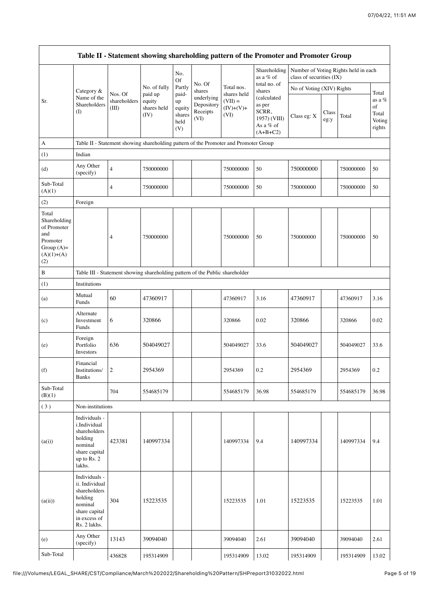|                                                                                                |                                                                                                                        |                                                                                      |                                   | No.<br><b>Of</b>                |                                              |                                        | Shareholding<br>as a % of                        | class of securities (IX)  |               | Number of Voting Rights held in each |                                 |
|------------------------------------------------------------------------------------------------|------------------------------------------------------------------------------------------------------------------------|--------------------------------------------------------------------------------------|-----------------------------------|---------------------------------|----------------------------------------------|----------------------------------------|--------------------------------------------------|---------------------------|---------------|--------------------------------------|---------------------------------|
| Sr.                                                                                            | Category &<br>Name of the<br>Shareholders                                                                              | Nos. Of<br>shareholders                                                              | No. of fully<br>paid up<br>equity | Partly<br>paid-<br>up           | No. Of<br>shares<br>underlying<br>Depository | Total nos.<br>shares held<br>$(VII) =$ | total no. of<br>shares<br>(calculated<br>as per  | No of Voting (XIV) Rights |               |                                      | Total<br>as a %                 |
|                                                                                                | (I)                                                                                                                    | (III)                                                                                | shares held<br>(IV)               | equity<br>shares<br>held<br>(V) | Receipts<br>(VI)                             | $(IV)+(V)+$<br>(VI)                    | SCRR,<br>1957) (VIII)<br>As a % of<br>$(A+B+C2)$ | Class eg: X               | Class<br>eg:y | Total                                | of<br>Total<br>Voting<br>rights |
| А                                                                                              |                                                                                                                        | Table II - Statement showing shareholding pattern of the Promoter and Promoter Group |                                   |                                 |                                              |                                        |                                                  |                           |               |                                      |                                 |
| (1)                                                                                            | Indian                                                                                                                 |                                                                                      |                                   |                                 |                                              |                                        |                                                  |                           |               |                                      |                                 |
| (d)                                                                                            | Any Other<br>(specify)                                                                                                 | $\overline{4}$                                                                       | 750000000                         |                                 |                                              | 750000000                              | 50                                               | 750000000                 |               | 750000000                            | 50                              |
| Sub-Total<br>(A)(1)                                                                            |                                                                                                                        | $\overline{4}$                                                                       | 750000000                         |                                 |                                              | 750000000                              | 50                                               | 750000000                 |               | 750000000                            | 50                              |
| (2)                                                                                            | Foreign                                                                                                                |                                                                                      |                                   |                                 |                                              |                                        |                                                  |                           |               |                                      |                                 |
| Total<br>Shareholding<br>of Promoter<br>and<br>Promoter<br>Group $(A)=$<br>$(A)(1)+(A)$<br>(2) |                                                                                                                        | 4                                                                                    | 750000000                         |                                 |                                              | 750000000                              | 50                                               | 750000000                 |               | 750000000                            | 50                              |
| B                                                                                              |                                                                                                                        | Table III - Statement showing shareholding pattern of the Public shareholder         |                                   |                                 |                                              |                                        |                                                  |                           |               |                                      |                                 |
| (1)                                                                                            | Institutions                                                                                                           |                                                                                      |                                   |                                 |                                              |                                        |                                                  |                           |               |                                      |                                 |
| (a)                                                                                            | Mutual<br>Funds                                                                                                        | 60                                                                                   | 47360917                          |                                 |                                              | 47360917                               | 3.16                                             | 47360917                  |               | 47360917                             | 3.16                            |
| (c)                                                                                            | Alternate<br>Investment<br>Funds                                                                                       | 6                                                                                    | 320866                            |                                 |                                              | 320866                                 | 0.02                                             | 320866                    |               | 320866                               | 0.02                            |
| (e)                                                                                            | Foreign<br>Portfolio<br>Investors                                                                                      | 636                                                                                  | 504049027                         |                                 |                                              | 504049027                              | 33.6                                             | 504049027                 |               | 504049027                            | 33.6                            |
| (f)                                                                                            | Financial<br>Institutions/<br><b>Banks</b>                                                                             | $\overline{2}$                                                                       | 2954369                           |                                 |                                              | 2954369                                | 0.2                                              | 2954369                   |               | 2954369                              | 0.2                             |
| Sub-Total<br>(B)(1)                                                                            |                                                                                                                        | 704                                                                                  | 554685179                         |                                 |                                              | 554685179                              | 36.98                                            | 554685179                 |               | 554685179                            | 36.98                           |
| (3)                                                                                            | Non-institutions                                                                                                       |                                                                                      |                                   |                                 |                                              |                                        |                                                  |                           |               |                                      |                                 |
| (a(i))                                                                                         | Individuals -<br>i.Individual<br>shareholders<br>holding<br>nominal<br>share capital<br>up to Rs. 2<br>lakhs.          | 423381                                                                               | 140997334                         |                                 |                                              | 140997334                              | 9.4                                              | 140997334                 |               | 140997334                            | 9.4                             |
| (a(ii))                                                                                        | Individuals -<br>ii. Individual<br>shareholders<br>holding<br>nominal<br>share capital<br>in excess of<br>Rs. 2 lakhs. | 304                                                                                  | 15223535                          |                                 |                                              | 15223535                               | 1.01                                             | 15223535                  |               | 15223535                             | 1.01                            |
| (e)                                                                                            | Any Other<br>(specify)                                                                                                 | 13143                                                                                | 39094040                          |                                 |                                              | 39094040                               | 2.61                                             | 39094040                  |               | 39094040                             | 2.61                            |
| Sub-Total                                                                                      |                                                                                                                        | 436828                                                                               | 195314909                         |                                 |                                              | 195314909                              | 13.02                                            | 195314909                 |               | 195314909                            | 13.02                           |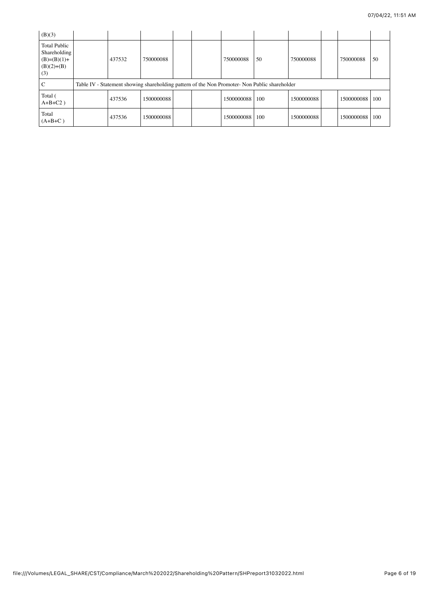| (B)(3)                                                                      |        |            |  |                  |                                                                                               |            |            |     |
|-----------------------------------------------------------------------------|--------|------------|--|------------------|-----------------------------------------------------------------------------------------------|------------|------------|-----|
| <b>Total Public</b><br>Shareholding<br>$(B)=(B)(1)+$<br>$(B)(2)+(B)$<br>(3) | 437532 | 750000088  |  | 750000088        | .50                                                                                           | 750000088  | 750000088  | 50  |
|                                                                             |        |            |  |                  | Table IV - Statement showing shareholding pattern of the Non Promoter- Non Public shareholder |            |            |     |
| Total (<br>$A+B+C2$ )                                                       | 437536 | 1500000088 |  | 1500000088   100 |                                                                                               | 1500000088 | 1500000088 | 100 |
| Total<br>$(A+B+C)$                                                          | 437536 | 1500000088 |  | 1500000088   100 |                                                                                               | 1500000088 | 1500000088 | 100 |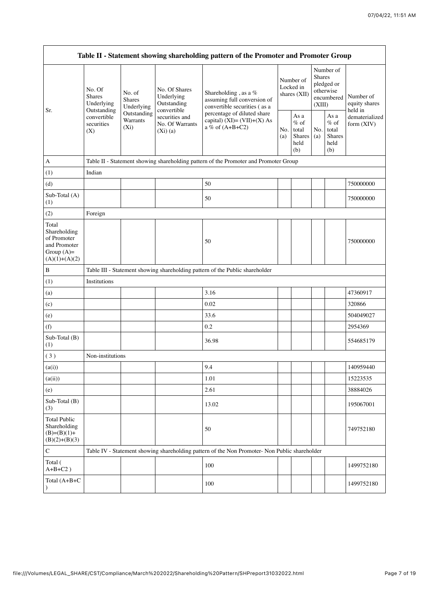|                                                                                         |                                                                                                                                |                         |                                                           | Table II - Statement showing shareholding pattern of the Promoter and Promoter Group          |                                        |                                                  |                         |                                                          |                                       |
|-----------------------------------------------------------------------------------------|--------------------------------------------------------------------------------------------------------------------------------|-------------------------|-----------------------------------------------------------|-----------------------------------------------------------------------------------------------|----------------------------------------|--------------------------------------------------|-------------------------|----------------------------------------------------------|---------------------------------------|
| Sr.                                                                                     | No. Of<br>No. of<br><b>Shares</b><br><b>Shares</b><br>Underlying<br>Outstanding<br>convertible<br>securities<br>$(X_i)$<br>(X) | Underlying              | No. Of Shares<br>Underlying<br>Outstanding<br>convertible | Shareholding, as a %<br>assuming full conversion of<br>convertible securities (as a           | Number of<br>Locked in<br>shares (XII) |                                                  | <b>Shares</b><br>(XIII) | Number of<br>pledged or<br>otherwise<br>encumbered       | Number of<br>equity shares<br>held in |
|                                                                                         |                                                                                                                                | Outstanding<br>Warrants | securities and<br>No. Of Warrants<br>(Xi)(a)              | percentage of diluted share<br>capital) $(XI) = (VII)+(X) As$<br>a % of $(A+B+C2)$            | No.<br>(a)                             | As a<br>$%$ of<br>total<br>Shares<br>held<br>(b) | No.<br>(a)              | As a<br>$\%$ of<br>total<br><b>Shares</b><br>held<br>(b) | dematerialized<br>form (XIV)          |
| A                                                                                       |                                                                                                                                |                         |                                                           | Table II - Statement showing shareholding pattern of the Promoter and Promoter Group          |                                        |                                                  |                         |                                                          |                                       |
| (1)                                                                                     | Indian                                                                                                                         |                         |                                                           |                                                                                               |                                        |                                                  |                         |                                                          |                                       |
| (d)                                                                                     |                                                                                                                                |                         |                                                           | 50                                                                                            |                                        |                                                  |                         |                                                          | 750000000                             |
| Sub-Total (A)<br>(1)                                                                    |                                                                                                                                |                         |                                                           | 50                                                                                            |                                        |                                                  |                         |                                                          | 750000000                             |
| (2)                                                                                     | Foreign                                                                                                                        |                         |                                                           |                                                                                               |                                        |                                                  |                         |                                                          |                                       |
| Total<br>Shareholding<br>of Promoter<br>and Promoter<br>Group $(A)=$<br>$(A)(1)+(A)(2)$ |                                                                                                                                |                         |                                                           | 50                                                                                            |                                        |                                                  |                         |                                                          | 750000000                             |
| B                                                                                       |                                                                                                                                |                         |                                                           | Table III - Statement showing shareholding pattern of the Public shareholder                  |                                        |                                                  |                         |                                                          |                                       |
| (1)                                                                                     | Institutions                                                                                                                   |                         |                                                           |                                                                                               |                                        |                                                  |                         |                                                          |                                       |
| (a)                                                                                     |                                                                                                                                |                         |                                                           | 3.16                                                                                          |                                        |                                                  |                         |                                                          | 47360917                              |
| (c)                                                                                     |                                                                                                                                |                         |                                                           | 0.02                                                                                          |                                        |                                                  |                         |                                                          | 320866                                |
| (e)                                                                                     |                                                                                                                                |                         |                                                           | 33.6                                                                                          |                                        |                                                  |                         |                                                          | 504049027                             |
| (f)                                                                                     |                                                                                                                                |                         |                                                           | 0.2                                                                                           |                                        |                                                  |                         |                                                          | 2954369                               |
| Sub-Total (B)<br>(1)                                                                    |                                                                                                                                |                         |                                                           | 36.98                                                                                         |                                        |                                                  |                         |                                                          | 554685179                             |
| (3)                                                                                     | Non-institutions                                                                                                               |                         |                                                           |                                                                                               |                                        |                                                  |                         |                                                          |                                       |
| (a(i))                                                                                  |                                                                                                                                |                         |                                                           | 9.4                                                                                           |                                        |                                                  |                         |                                                          | 140959440                             |
| (a(ii))                                                                                 |                                                                                                                                |                         |                                                           | 1.01                                                                                          |                                        |                                                  |                         |                                                          | 15223535                              |
| (e)                                                                                     |                                                                                                                                |                         |                                                           | 2.61                                                                                          |                                        |                                                  |                         |                                                          | 38884026                              |
| Sub-Total (B)<br>(3)                                                                    |                                                                                                                                |                         |                                                           | 13.02                                                                                         |                                        |                                                  |                         |                                                          | 195067001                             |
| <b>Total Public</b><br>Shareholding<br>$(B)=(B)(1)+$<br>$(B)(2)+(B)(3)$                 |                                                                                                                                |                         |                                                           | 50                                                                                            |                                        |                                                  |                         |                                                          | 749752180                             |
| $\mathbf C$                                                                             |                                                                                                                                |                         |                                                           | Table IV - Statement showing shareholding pattern of the Non Promoter- Non Public shareholder |                                        |                                                  |                         |                                                          |                                       |
| Total (<br>$A+B+C2$ )                                                                   |                                                                                                                                |                         |                                                           | 100                                                                                           |                                        |                                                  |                         |                                                          | 1499752180                            |
| Total (A+B+C                                                                            |                                                                                                                                |                         |                                                           | 100                                                                                           |                                        |                                                  |                         |                                                          | 1499752180                            |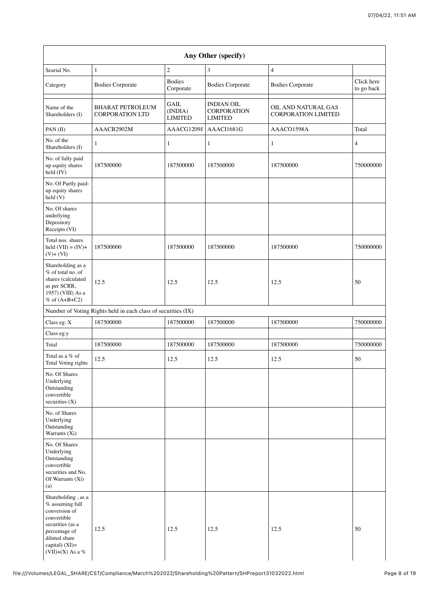|                                                                                                                                                                      |                                                               |                                          | Any Other (specify)                                       |                                                   |                          |
|----------------------------------------------------------------------------------------------------------------------------------------------------------------------|---------------------------------------------------------------|------------------------------------------|-----------------------------------------------------------|---------------------------------------------------|--------------------------|
| Searial No.                                                                                                                                                          | $\mathbf{1}$                                                  | $\mathbf{2}$                             | 3                                                         | $\overline{4}$                                    |                          |
| Category                                                                                                                                                             | <b>Bodies Corporate</b>                                       | <b>Bodies</b><br>Corporate               | <b>Bodies Corporate</b>                                   | <b>Bodies Corporate</b>                           | Click here<br>to go back |
| Name of the<br>Shareholders (I)                                                                                                                                      | <b>BHARAT PETROLEUM</b><br><b>CORPORATION LTD</b>             | <b>GAIL</b><br>(INDIA)<br><b>LIMITED</b> | <b>INDIAN OIL</b><br><b>CORPORATION</b><br><b>LIMITED</b> | OIL AND NATURAL GAS<br><b>CORPORATION LIMITED</b> |                          |
| PAN (II)                                                                                                                                                             | AAACB2902M                                                    | AAACG1209J                               | AAACI1681G                                                | AAACO1598A                                        | Total                    |
| No. of the<br>Shareholders (I)                                                                                                                                       | 1                                                             | $\mathbf{1}$                             | 1                                                         | $\mathbf{1}$                                      | 4                        |
| No. of fully paid<br>up equity shares<br>held (IV)                                                                                                                   | 187500000                                                     | 187500000                                | 187500000                                                 | 187500000                                         | 750000000                |
| No. Of Partly paid-<br>up equity shares<br>held (V)                                                                                                                  |                                                               |                                          |                                                           |                                                   |                          |
| No. Of shares<br>underlying<br>Depository<br>Receipts (VI)                                                                                                           |                                                               |                                          |                                                           |                                                   |                          |
| Total nos. shares<br>held $(VII) = (IV) +$<br>$(V)+(VI)$                                                                                                             | 187500000                                                     | 187500000                                | 187500000                                                 | 187500000                                         | 750000000                |
| Shareholding as a<br>% of total no. of<br>shares (calculated<br>as per SCRR,<br>1957) (VIII) As a<br>% of $(A+B+C2)$                                                 | 12.5                                                          | 12.5                                     | 12.5                                                      | 12.5                                              | 50                       |
|                                                                                                                                                                      | Number of Voting Rights held in each class of securities (IX) |                                          |                                                           |                                                   |                          |
| Class eg: X                                                                                                                                                          | 187500000                                                     | 187500000                                | 187500000                                                 | 187500000                                         | 750000000                |
| Class eg:y                                                                                                                                                           |                                                               |                                          |                                                           |                                                   |                          |
| Total                                                                                                                                                                | 187500000                                                     | 187500000                                | 187500000                                                 | 187500000                                         | 750000000                |
| Total as a % of<br>Total Voting rights                                                                                                                               | 12.5                                                          | 12.5                                     | 12.5                                                      | 12.5                                              | 50                       |
| No. Of Shares<br>Underlying<br>Outstanding<br>convertible<br>securities (X)                                                                                          |                                                               |                                          |                                                           |                                                   |                          |
| No. of Shares<br>Underlying<br>Outstanding<br>Warrants (Xi)                                                                                                          |                                                               |                                          |                                                           |                                                   |                          |
| No. Of Shares<br>Underlying<br>Outstanding<br>convertible<br>securities and No.<br>Of Warrants (Xi)<br>(a)                                                           |                                                               |                                          |                                                           |                                                   |                          |
| Shareholding, as a<br>% assuming full<br>conversion of<br>convertible<br>securities (as a<br>percentage of<br>diluted share<br>capital) (XI)=<br>(VII)+(X) As a $\%$ | 12.5                                                          | 12.5                                     | 12.5                                                      | 12.5                                              | 50                       |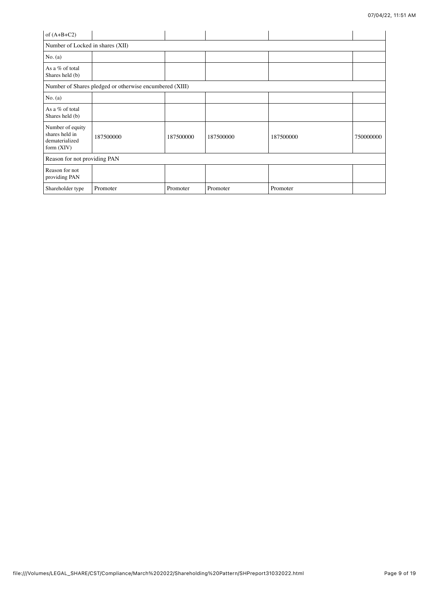| of $(A+B+C2)$                                                        |                                                         |           |           |           |           |
|----------------------------------------------------------------------|---------------------------------------------------------|-----------|-----------|-----------|-----------|
| Number of Locked in shares (XII)                                     |                                                         |           |           |           |           |
| No. (a)                                                              |                                                         |           |           |           |           |
| As a % of total<br>Shares held (b)                                   |                                                         |           |           |           |           |
|                                                                      | Number of Shares pledged or otherwise encumbered (XIII) |           |           |           |           |
| No. (a)                                                              |                                                         |           |           |           |           |
| As a % of total<br>Shares held (b)                                   |                                                         |           |           |           |           |
| Number of equity<br>shares held in<br>dematerialized<br>form $(XIV)$ | 187500000                                               | 187500000 | 187500000 | 187500000 | 750000000 |
| Reason for not providing PAN                                         |                                                         |           |           |           |           |
| Reason for not<br>providing PAN                                      |                                                         |           |           |           |           |
| Shareholder type                                                     | Promoter                                                | Promoter  | Promoter  | Promoter  |           |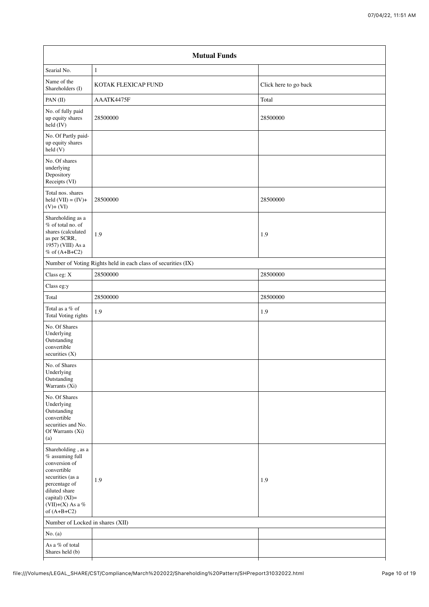|                                                                                                                                                                                          | <b>Mutual Funds</b>                                           |                       |
|------------------------------------------------------------------------------------------------------------------------------------------------------------------------------------------|---------------------------------------------------------------|-----------------------|
| Searial No.                                                                                                                                                                              | $\mathbf{1}$                                                  |                       |
| Name of the<br>Shareholders (I)                                                                                                                                                          | KOTAK FLEXICAP FUND                                           | Click here to go back |
| PAN (II)                                                                                                                                                                                 | AAATK4475F                                                    | Total                 |
| No. of fully paid<br>up equity shares<br>held (IV)                                                                                                                                       | 28500000                                                      | 28500000              |
| No. Of Partly paid-<br>up equity shares<br>held (V)                                                                                                                                      |                                                               |                       |
| No. Of shares<br>underlying<br>Depository<br>Receipts (VI)                                                                                                                               |                                                               |                       |
| Total nos. shares<br>held $(VII) = (IV) +$<br>$(V)+(VI)$                                                                                                                                 | 28500000                                                      | 28500000              |
| Shareholding as a<br>% of total no. of<br>shares (calculated<br>as per SCRR,<br>1957) (VIII) As a<br>% of $(A+B+C2)$                                                                     | 1.9                                                           | 1.9                   |
|                                                                                                                                                                                          | Number of Voting Rights held in each class of securities (IX) |                       |
| Class eg: X                                                                                                                                                                              | 28500000                                                      | 28500000              |
| Class eg:y                                                                                                                                                                               |                                                               |                       |
| Total                                                                                                                                                                                    | 28500000                                                      | 28500000              |
| Total as a % of<br>Total Voting rights                                                                                                                                                   | 1.9                                                           | 1.9                   |
| No. Of Shares<br>Underlying<br>Outstanding<br>convertible<br>securities (X)                                                                                                              |                                                               |                       |
| No. of Shares<br>Underlying<br>Outstanding<br>Warrants (Xi)                                                                                                                              |                                                               |                       |
| No. Of Shares<br>Underlying<br>Outstanding<br>convertible<br>securities and No.<br>Of Warrants (Xi)<br>(a)                                                                               |                                                               |                       |
| Shareholding, as a<br>$\%$ assuming full<br>conversion of<br>convertible<br>securities (as a<br>percentage of<br>diluted share<br>capital) (XI)=<br>(VII)+(X) As a $\%$<br>of $(A+B+C2)$ | 1.9                                                           | 1.9                   |
| Number of Locked in shares (XII)                                                                                                                                                         |                                                               |                       |
| No. (a)                                                                                                                                                                                  |                                                               |                       |
| As a % of total<br>Shares held (b)                                                                                                                                                       |                                                               |                       |
|                                                                                                                                                                                          |                                                               |                       |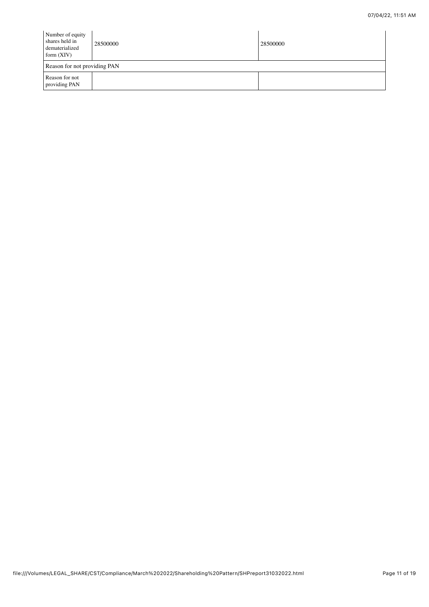| Number of equity<br>shares held in<br>dematerialized<br>form $(XIV)$ | 28500000 | 28500000 |
|----------------------------------------------------------------------|----------|----------|
| Reason for not providing PAN                                         |          |          |
| Reason for not<br>providing PAN                                      |          |          |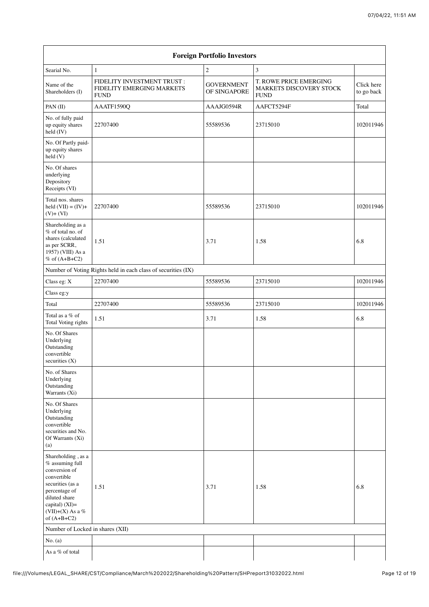|                                                                                                                                                                                    |                                                                        | <b>Foreign Portfolio Investors</b> |                                                                  |                          |
|------------------------------------------------------------------------------------------------------------------------------------------------------------------------------------|------------------------------------------------------------------------|------------------------------------|------------------------------------------------------------------|--------------------------|
| Searial No.                                                                                                                                                                        | $\mathbf{1}$                                                           | $\boldsymbol{2}$                   | 3                                                                |                          |
| Name of the<br>Shareholders (I)                                                                                                                                                    | FIDELITY INVESTMENT TRUST:<br>FIDELITY EMERGING MARKETS<br><b>FUND</b> | <b>GOVERNMENT</b><br>OF SINGAPORE  | T. ROWE PRICE EMERGING<br>MARKETS DISCOVERY STOCK<br><b>FUND</b> | Click here<br>to go back |
| PAN (II)                                                                                                                                                                           | AAATF1590Q                                                             | AAAJG0594R                         | AAFCT5294F                                                       | Total                    |
| No. of fully paid<br>up equity shares<br>held (IV)                                                                                                                                 | 22707400                                                               | 55589536                           | 23715010                                                         | 102011946                |
| No. Of Partly paid-<br>up equity shares<br>held(V)                                                                                                                                 |                                                                        |                                    |                                                                  |                          |
| No. Of shares<br>underlying<br>Depository<br>Receipts (VI)                                                                                                                         |                                                                        |                                    |                                                                  |                          |
| Total nos. shares<br>held $(VII) = (IV) +$<br>$(V)+(VI)$                                                                                                                           | 22707400                                                               | 55589536                           | 23715010                                                         | 102011946                |
| Shareholding as a<br>% of total no. of<br>shares (calculated<br>as per SCRR,<br>1957) (VIII) As a<br>% of $(A+B+C2)$                                                               | 1.51                                                                   | 3.71                               | 1.58                                                             | 6.8                      |
|                                                                                                                                                                                    | Number of Voting Rights held in each class of securities (IX)          |                                    |                                                                  |                          |
| Class eg: X                                                                                                                                                                        | 22707400                                                               | 55589536                           | 23715010                                                         | 102011946                |
| Class eg:y                                                                                                                                                                         |                                                                        |                                    |                                                                  |                          |
| Total                                                                                                                                                                              | 22707400                                                               | 55589536                           | 23715010                                                         | 102011946                |
| Total as a % of<br>Total Voting rights                                                                                                                                             | 1.51                                                                   | 3.71                               | 1.58                                                             | 6.8                      |
| No. Of Shares<br>Underlying<br>Outstanding<br>convertible<br>securities $(X)$                                                                                                      |                                                                        |                                    |                                                                  |                          |
| No. of Shares<br>Underlying<br>Outstanding<br>Warrants (Xi)                                                                                                                        |                                                                        |                                    |                                                                  |                          |
| No. Of Shares<br>Underlying<br>Outstanding<br>convertible<br>securities and No.<br>Of Warrants (Xi)<br>(a)                                                                         |                                                                        |                                    |                                                                  |                          |
| Shareholding, as a<br>% assuming full<br>conversion of<br>convertible<br>securities (as a<br>percentage of<br>diluted share<br>capital) (XI)=<br>(VII)+(X) As a %<br>of $(A+B+C2)$ | 1.51                                                                   | 3.71                               | 1.58                                                             | 6.8                      |
| Number of Locked in shares (XII)                                                                                                                                                   |                                                                        |                                    |                                                                  |                          |
| No. (a)                                                                                                                                                                            |                                                                        |                                    |                                                                  |                          |
| As a % of total                                                                                                                                                                    |                                                                        |                                    |                                                                  |                          |
|                                                                                                                                                                                    |                                                                        |                                    |                                                                  |                          |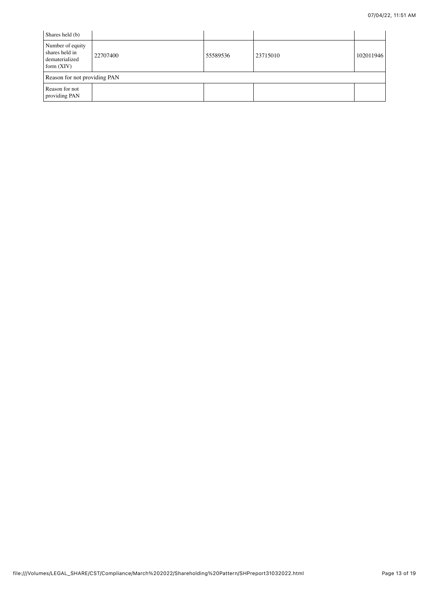| Shares held (b)                                                      |          |          |          |           |  |  |
|----------------------------------------------------------------------|----------|----------|----------|-----------|--|--|
| Number of equity<br>shares held in<br>dematerialized<br>form $(XIV)$ | 22707400 | 55589536 | 23715010 | 102011946 |  |  |
| Reason for not providing PAN                                         |          |          |          |           |  |  |
| Reason for not<br>providing PAN                                      |          |          |          |           |  |  |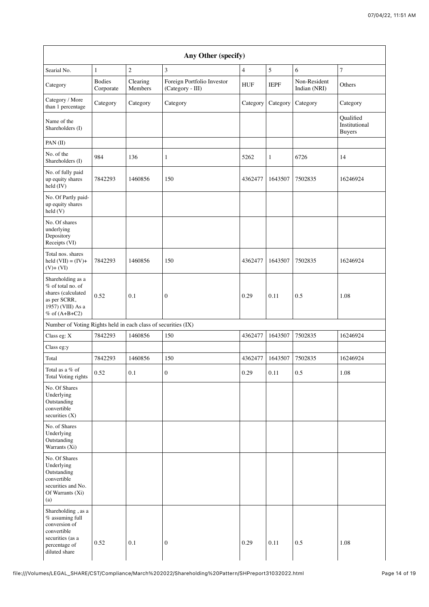|                                                                                                                               |                            |                     | Any Other (specify)                            |                |              |                              |                                             |
|-------------------------------------------------------------------------------------------------------------------------------|----------------------------|---------------------|------------------------------------------------|----------------|--------------|------------------------------|---------------------------------------------|
| Searial No.                                                                                                                   | $\mathbf{1}$               | $\overline{c}$      | 3                                              | $\overline{4}$ | 5            | 6                            | 7                                           |
| Category                                                                                                                      | <b>Bodies</b><br>Corporate | Clearing<br>Members | Foreign Portfolio Investor<br>(Category - III) | <b>HUF</b>     | <b>IEPF</b>  | Non-Resident<br>Indian (NRI) | Others                                      |
| Category / More<br>than 1 percentage                                                                                          | Category                   | Category            | Category                                       | Category       | Category     | Category                     | Category                                    |
| Name of the<br>Shareholders (I)                                                                                               |                            |                     |                                                |                |              |                              | Qualified<br>Institutional<br><b>Buyers</b> |
| PAN (II)                                                                                                                      |                            |                     |                                                |                |              |                              |                                             |
| No. of the<br>Shareholders (I)                                                                                                | 984                        | 136                 | $\mathbf{1}$                                   | 5262           | $\mathbf{1}$ | 6726                         | 14                                          |
| No. of fully paid<br>up equity shares<br>held (IV)                                                                            | 7842293                    | 1460856             | 150                                            | 4362477        | 1643507      | 7502835                      | 16246924                                    |
| No. Of Partly paid-<br>up equity shares<br>held(V)                                                                            |                            |                     |                                                |                |              |                              |                                             |
| No. Of shares<br>underlying<br>Depository<br>Receipts (VI)                                                                    |                            |                     |                                                |                |              |                              |                                             |
| Total nos. shares<br>held $(VII) = (IV) +$<br>$(V)+(VI)$                                                                      | 7842293                    | 1460856             | 150                                            | 4362477        | 1643507      | 7502835                      | 16246924                                    |
| Shareholding as a<br>% of total no. of<br>shares (calculated<br>as per SCRR,<br>1957) (VIII) As a<br>$%$ of $(A+B+C2)$        | 0.52                       | 0.1                 | $\boldsymbol{0}$                               | 0.29           | 0.11         | 0.5                          | 1.08                                        |
| Number of Voting Rights held in each class of securities (IX)                                                                 |                            |                     |                                                |                |              |                              |                                             |
| Class eg: X                                                                                                                   | 7842293                    | 1460856             | 150                                            | 4362477        | 1643507      | 7502835                      | 16246924                                    |
| Class eg:y                                                                                                                    |                            |                     |                                                |                |              |                              |                                             |
| Total                                                                                                                         | 7842293                    | 1460856             | 150                                            | 4362477        | 1643507      | 7502835                      | 16246924                                    |
| Total as a % of<br>Total Voting rights                                                                                        | 0.52                       | 0.1                 | $\boldsymbol{0}$                               | 0.29           | 0.11         | 0.5                          | 1.08                                        |
| No. Of Shares<br>Underlying<br>Outstanding<br>convertible<br>securities $(X)$                                                 |                            |                     |                                                |                |              |                              |                                             |
| No. of Shares<br>Underlying<br>Outstanding<br>Warrants (Xi)                                                                   |                            |                     |                                                |                |              |                              |                                             |
| No. Of Shares<br>Underlying<br>Outstanding<br>convertible<br>securities and No.<br>Of Warrants (Xi)<br>(a)                    |                            |                     |                                                |                |              |                              |                                             |
| Shareholding, as a<br>$%$ assuming full<br>conversion of<br>convertible<br>securities (as a<br>percentage of<br>diluted share | 0.52                       | 0.1                 | $\boldsymbol{0}$                               | 0.29           | 0.11         | 0.5                          | 1.08                                        |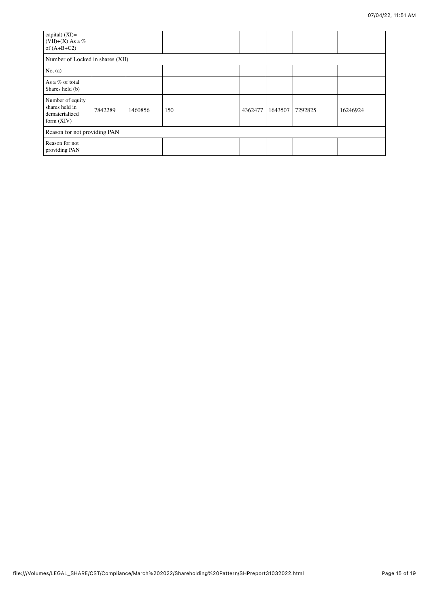| capital) (XI)=<br>(VII)+(X) As a $%$<br>of $(A+B+C2)$                |         |         |     |         |         |         |          |
|----------------------------------------------------------------------|---------|---------|-----|---------|---------|---------|----------|
| Number of Locked in shares (XII)                                     |         |         |     |         |         |         |          |
| No. (a)                                                              |         |         |     |         |         |         |          |
| As a % of total<br>Shares held (b)                                   |         |         |     |         |         |         |          |
| Number of equity<br>shares held in<br>dematerialized<br>form $(XIV)$ | 7842289 | 1460856 | 150 | 4362477 | 1643507 | 7292825 | 16246924 |
| Reason for not providing PAN                                         |         |         |     |         |         |         |          |
| Reason for not<br>providing PAN                                      |         |         |     |         |         |         |          |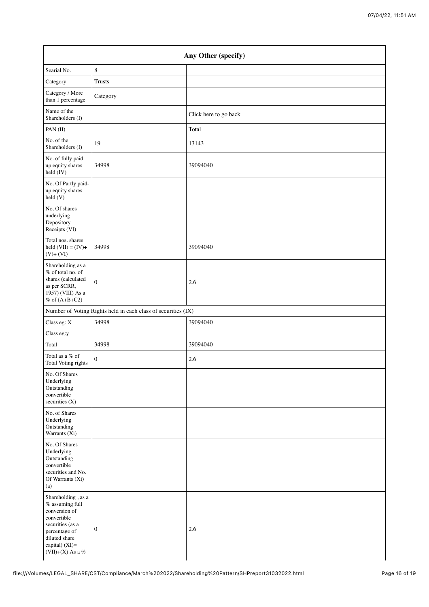| Any Other (specify)                                                                                                                                                    |                                                               |                       |  |  |
|------------------------------------------------------------------------------------------------------------------------------------------------------------------------|---------------------------------------------------------------|-----------------------|--|--|
| Searial No.                                                                                                                                                            | $\,8\,$                                                       |                       |  |  |
| Category                                                                                                                                                               | Trusts                                                        |                       |  |  |
| Category / More<br>than 1 percentage                                                                                                                                   | Category                                                      |                       |  |  |
| Name of the<br>Shareholders (I)                                                                                                                                        |                                                               | Click here to go back |  |  |
| PAN (II)                                                                                                                                                               |                                                               | Total                 |  |  |
| No. of the<br>Shareholders (I)                                                                                                                                         | 19                                                            | 13143                 |  |  |
| No. of fully paid<br>up equity shares<br>held (IV)                                                                                                                     | 34998                                                         | 39094040              |  |  |
| No. Of Partly paid-<br>up equity shares<br>held(V)                                                                                                                     |                                                               |                       |  |  |
| No. Of shares<br>underlying<br>Depository<br>Receipts (VI)                                                                                                             |                                                               |                       |  |  |
| Total nos. shares<br>held $(VII) = (IV) +$<br>$(V)+(VI)$                                                                                                               | 34998                                                         | 39094040              |  |  |
| Shareholding as a<br>% of total no. of<br>shares (calculated<br>as per SCRR,<br>1957) (VIII) As a<br>$%$ of $(A+B+C2)$                                                 | $\mathbf{0}$                                                  | 2.6                   |  |  |
|                                                                                                                                                                        | Number of Voting Rights held in each class of securities (IX) |                       |  |  |
| Class eg: X                                                                                                                                                            | 34998                                                         | 39094040              |  |  |
| Class eg:y                                                                                                                                                             |                                                               |                       |  |  |
| Total                                                                                                                                                                  | 34998                                                         | 39094040              |  |  |
| Total as a % of<br>Total Voting rights                                                                                                                                 | $\mathbf{0}$                                                  | 2.6                   |  |  |
| No. Of Shares<br>Underlying<br>Outstanding<br>convertible<br>securities $(X)$                                                                                          |                                                               |                       |  |  |
| No. of Shares<br>Underlying<br>Outstanding<br>Warrants (Xi)                                                                                                            |                                                               |                       |  |  |
| No. Of Shares<br>Underlying<br>Outstanding<br>convertible<br>securities and No.<br>Of Warrants (Xi)<br>(a)                                                             |                                                               |                       |  |  |
| Shareholding, as a<br>$%$ assuming full<br>conversion of<br>convertible<br>securities (as a<br>percentage of<br>diluted share<br>capital) (XI)=<br>(VII)+(X) As a $\%$ | $\mathbf{0}$                                                  | 2.6                   |  |  |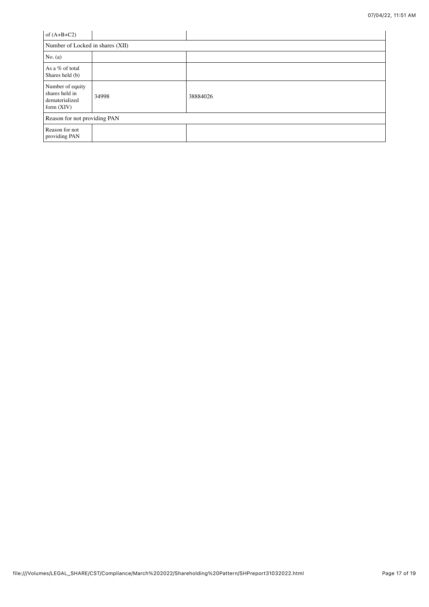| of $(A+B+C2)$                                                        |       |          |  |  |  |
|----------------------------------------------------------------------|-------|----------|--|--|--|
| Number of Locked in shares (XII)                                     |       |          |  |  |  |
| No. (a)                                                              |       |          |  |  |  |
| As a % of total<br>Shares held (b)                                   |       |          |  |  |  |
| Number of equity<br>shares held in<br>dematerialized<br>form $(XIV)$ | 34998 | 38884026 |  |  |  |
| Reason for not providing PAN                                         |       |          |  |  |  |
| Reason for not<br>providing PAN                                      |       |          |  |  |  |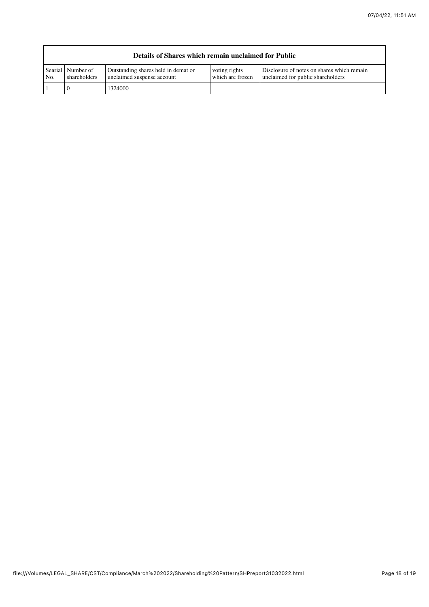|     | Details of Shares which remain unclaimed for Public |                                                                   |                                   |                                                                                 |  |  |  |  |
|-----|-----------------------------------------------------|-------------------------------------------------------------------|-----------------------------------|---------------------------------------------------------------------------------|--|--|--|--|
| No. | Searial   Number of<br>shareholders                 | Outstanding shares held in demat or<br>unclaimed suspense account | voting rights<br>which are frozen | Disclosure of notes on shares which remain<br>unclaimed for public shareholders |  |  |  |  |
|     |                                                     | 1324000                                                           |                                   |                                                                                 |  |  |  |  |